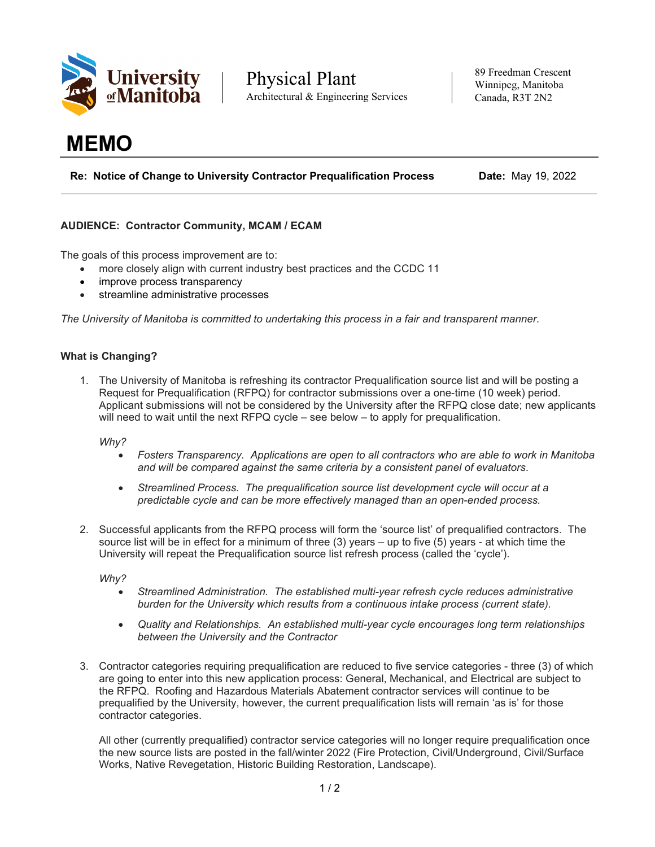

Physical Plant Architectural & Engineering Services

89 Freedman Crescent Winnipeg, Manitoba Canada, R3T 2N2

# **MEMO**

**Re: Notice of Change to University Contractor Prequalification Process Date:** May 19, 2022

## **AUDIENCE: Contractor Community, MCAM / ECAM**

The goals of this process improvement are to:

- more closely align with current industry best practices and the CCDC 11
- improve process transparency
- streamline administrative processes

*The University of Manitoba is committed to undertaking this process in a fair and transparent manner.*

#### **What is Changing?**

1. The University of Manitoba is refreshing its contractor Prequalification source list and will be posting a Request for Prequalification (RFPQ) for contractor submissions over a one-time (10 week) period. Applicant submissions will not be considered by the University after the RFPQ close date; new applicants will need to wait until the next RFPQ cycle – see below – to apply for prequalification.

*Why?* 

- *Fosters Transparency. Applications are open to all contractors who are able to work in Manitoba and will be compared against the same criteria by a consistent panel of evaluators.*
- *Streamlined Process. The prequalification source list development cycle will occur at a predictable cycle and can be more effectively managed than an open-ended process.*
- 2. Successful applicants from the RFPQ process will form the 'source list' of prequalified contractors. The source list will be in effect for a minimum of three (3) years – up to five (5) years - at which time the University will repeat the Prequalification source list refresh process (called the 'cycle').

*Why?*

- *Streamlined Administration. The established multi-year refresh cycle reduces administrative burden for the University which results from a continuous intake process (current state).*
- *Quality and Relationships. An established multi-year cycle encourages long term relationships between the University and the Contractor*
- 3. Contractor categories requiring prequalification are reduced to five service categories three (3) of which are going to enter into this new application process: General, Mechanical, and Electrical are subject to the RFPQ. Roofing and Hazardous Materials Abatement contractor services will continue to be prequalified by the University, however, the current prequalification lists will remain 'as is' for those contractor categories.

All other (currently prequalified) contractor service categories will no longer require prequalification once the new source lists are posted in the fall/winter 2022 (Fire Protection, Civil/Underground, Civil/Surface Works, Native Revegetation, Historic Building Restoration, Landscape).